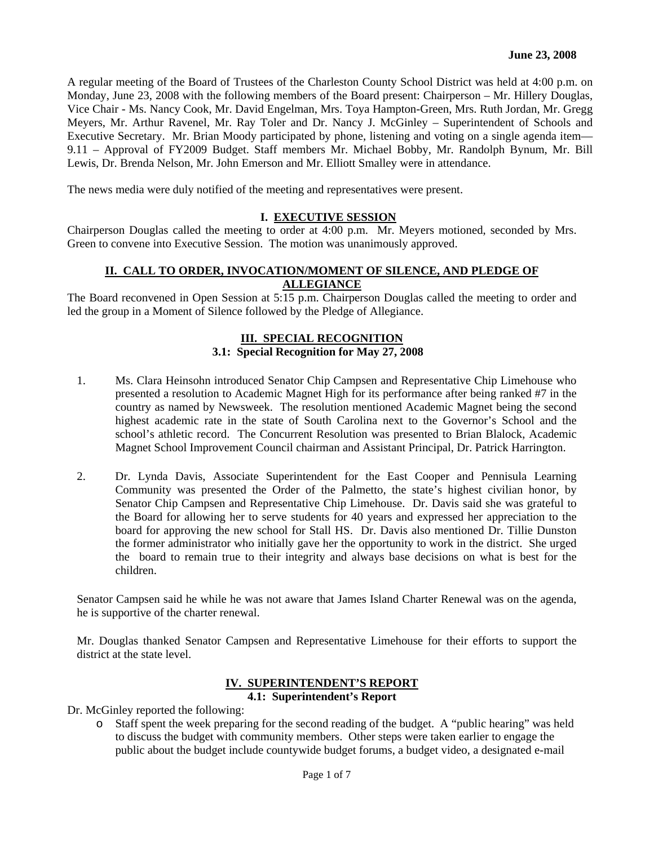A regular meeting of the Board of Trustees of the Charleston County School District was held at 4:00 p.m. on Monday, June 23, 2008 with the following members of the Board present: Chairperson – Mr. Hillery Douglas, Vice Chair - Ms. Nancy Cook, Mr. David Engelman, Mrs. Toya Hampton-Green, Mrs. Ruth Jordan, Mr. Gregg Meyers, Mr. Arthur Ravenel, Mr. Ray Toler and Dr. Nancy J. McGinley – Superintendent of Schools and Executive Secretary. Mr. Brian Moody participated by phone, listening and voting on a single agenda item— 9.11 – Approval of FY2009 Budget. Staff members Mr. Michael Bobby, Mr. Randolph Bynum, Mr. Bill Lewis, Dr. Brenda Nelson, Mr. John Emerson and Mr. Elliott Smalley were in attendance.

The news media were duly notified of the meeting and representatives were present.

### **I. EXECUTIVE SESSION**

Chairperson Douglas called the meeting to order at 4:00 p.m. Mr. Meyers motioned, seconded by Mrs. Green to convene into Executive Session. The motion was unanimously approved.

### **II. CALL TO ORDER, INVOCATION/MOMENT OF SILENCE, AND PLEDGE OF ALLEGIANCE**

The Board reconvened in Open Session at 5:15 p.m. Chairperson Douglas called the meeting to order and led the group in a Moment of Silence followed by the Pledge of Allegiance.

### **III. SPECIAL RECOGNITION 3.1: Special Recognition for May 27, 2008**

- 1. Ms. Clara Heinsohn introduced Senator Chip Campsen and Representative Chip Limehouse who presented a resolution to Academic Magnet High for its performance after being ranked #7 in the country as named by Newsweek. The resolution mentioned Academic Magnet being the second highest academic rate in the state of South Carolina next to the Governor's School and the school's athletic record. The Concurrent Resolution was presented to Brian Blalock, Academic Magnet School Improvement Council chairman and Assistant Principal, Dr. Patrick Harrington.
- 2. Dr. Lynda Davis, Associate Superintendent for the East Cooper and Pennisula Learning Community was presented the Order of the Palmetto, the state's highest civilian honor, by Senator Chip Campsen and Representative Chip Limehouse. Dr. Davis said she was grateful to the Board for allowing her to serve students for 40 years and expressed her appreciation to the board for approving the new school for Stall HS. Dr. Davis also mentioned Dr. Tillie Dunston the former administrator who initially gave her the opportunity to work in the district. She urged the board to remain true to their integrity and always base decisions on what is best for the children.

Senator Campsen said he while he was not aware that James Island Charter Renewal was on the agenda, he is supportive of the charter renewal.

Mr. Douglas thanked Senator Campsen and Representative Limehouse for their efforts to support the district at the state level.

### **IV. SUPERINTENDENT'S REPORT 4.1: Superintendent's Report**

Dr. McGinley reported the following:

o Staff spent the week preparing for the second reading of the budget. A "public hearing" was held to discuss the budget with community members. Other steps were taken earlier to engage the public about the budget include countywide budget forums, a budget video, a designated e-mail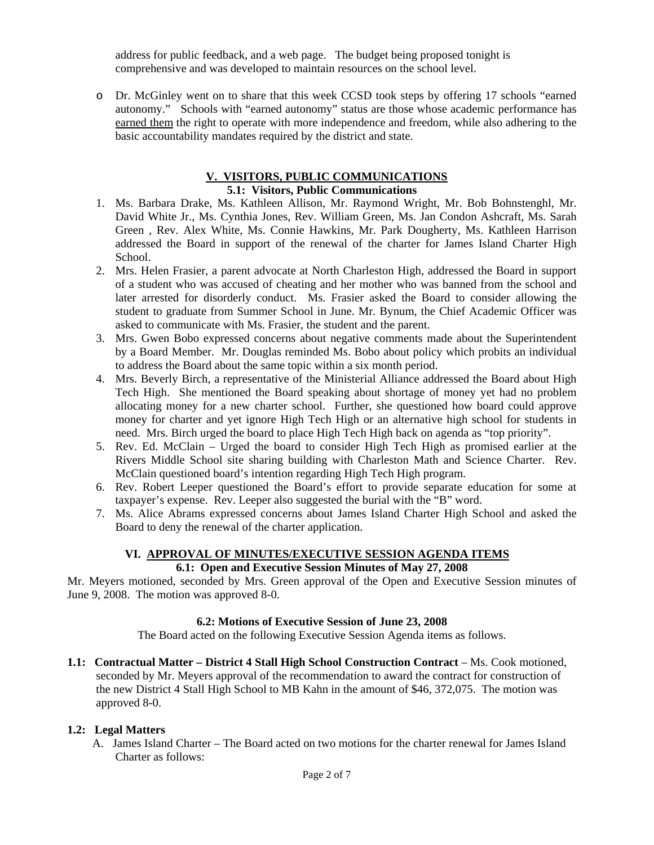address for public feedback, and a web page. The budget being proposed tonight is comprehensive and was developed to maintain resources on the school level.

o Dr. McGinley went on to share that this week CCSD took steps by offering 17 schools "earned autonomy." Schools with "earned autonomy" status are those whose academic performance has earned them the right to operate with more independence and freedom, while also adhering to the basic accountability mandates required by the district and state.

# **V. VISITORS, PUBLIC COMMUNICATIONS**

# **5.1: Visitors, Public Communications**

- 1. Ms. Barbara Drake, Ms. Kathleen Allison, Mr. Raymond Wright, Mr. Bob Bohnstenghl, Mr. David White Jr., Ms. Cynthia Jones, Rev. William Green, Ms. Jan Condon Ashcraft, Ms. Sarah Green , Rev. Alex White, Ms. Connie Hawkins, Mr. Park Dougherty, Ms. Kathleen Harrison addressed the Board in support of the renewal of the charter for James Island Charter High School.
- 2. Mrs. Helen Frasier, a parent advocate at North Charleston High, addressed the Board in support of a student who was accused of cheating and her mother who was banned from the school and later arrested for disorderly conduct. Ms. Frasier asked the Board to consider allowing the student to graduate from Summer School in June. Mr. Bynum, the Chief Academic Officer was asked to communicate with Ms. Frasier, the student and the parent.
- 3. Mrs. Gwen Bobo expressed concerns about negative comments made about the Superintendent by a Board Member. Mr. Douglas reminded Ms. Bobo about policy which probits an individual to address the Board about the same topic within a six month period.
- 4. Mrs. Beverly Birch, a representative of the Ministerial Alliance addressed the Board about High Tech High. She mentioned the Board speaking about shortage of money yet had no problem allocating money for a new charter school. Further, she questioned how board could approve money for charter and yet ignore High Tech High or an alternative high school for students in need. Mrs. Birch urged the board to place High Tech High back on agenda as "top priority".
- 5. Rev. Ed. McClain Urged the board to consider High Tech High as promised earlier at the Rivers Middle School site sharing building with Charleston Math and Science Charter. Rev. McClain questioned board's intention regarding High Tech High program.
- 6. Rev. Robert Leeper questioned the Board's effort to provide separate education for some at taxpayer's expense. Rev. Leeper also suggested the burial with the "B" word.
- 7. Ms. Alice Abrams expressed concerns about James Island Charter High School and asked the Board to deny the renewal of the charter application.

# **VI. APPROVAL OF MINUTES/EXECUTIVE SESSION AGENDA ITEMS 6.1: Open and Executive Session Minutes of May 27, 2008**

Mr. Meyers motioned, seconded by Mrs. Green approval of the Open and Executive Session minutes of June 9, 2008. The motion was approved 8-0.

# **6.2: Motions of Executive Session of June 23, 2008**

The Board acted on the following Executive Session Agenda items as follows.

**1.1: Contractual Matter – District 4 Stall High School Construction Contract** – Ms. Cook motioned, seconded by Mr. Meyers approval of the recommendation to award the contract for construction of the new District 4 Stall High School to MB Kahn in the amount of \$46, 372,075. The motion was approved 8-0.

# **1.2: Legal Matters**

 A. James Island Charter – The Board acted on two motions for the charter renewal for James Island Charter as follows: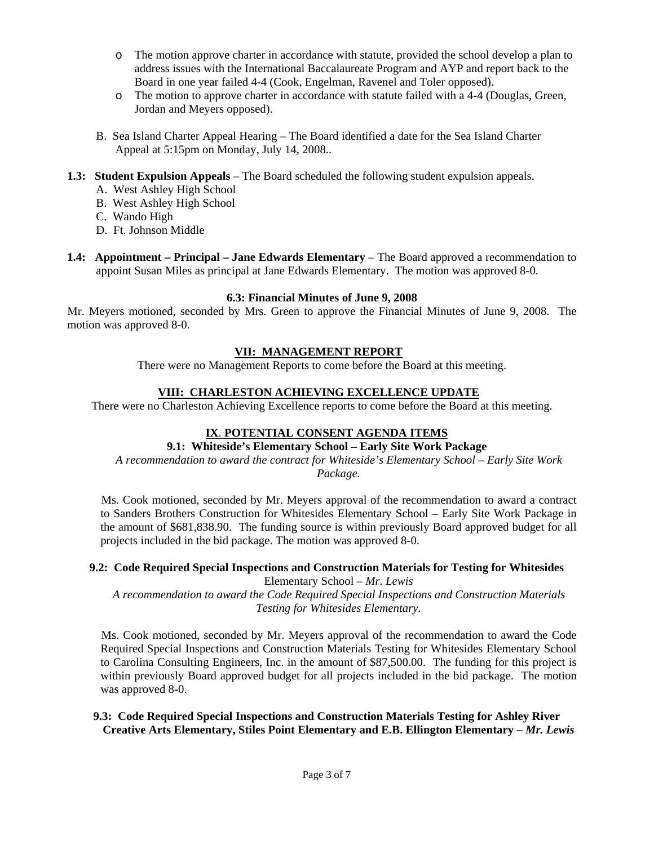- o The motion approve charter in accordance with statute, provided the school develop a plan to address issues with the International Baccalaureate Program and AYP and report back to the Board in one year failed 4-4 (Cook, Engelman, Ravenel and Toler opposed).
- o The motion to approve charter in accordance with statute failed with a 4-4 (Douglas, Green, Jordan and Meyers opposed).
- B. Sea Island Charter Appeal Hearing The Board identified a date for the Sea Island Charter Appeal at 5:15pm on Monday, July 14, 2008..
- **1.3: Student Expulsion Appeals** The Board scheduled the following student expulsion appeals.
	- A. West Ashley High School
	- B. West Ashley High School
	- C. Wando High
	- D. Ft. Johnson Middle
- **1.4: Appointment Principal Jane Edwards Elementary** The Board approved a recommendation to appoint Susan Miles as principal at Jane Edwards Elementary. The motion was approved 8-0.

### **6.3: Financial Minutes of June 9, 2008**

Mr. Meyers motioned, seconded by Mrs. Green to approve the Financial Minutes of June 9, 2008. The motion was approved 8-0.

## **VII: MANAGEMENT REPORT**

There were no Management Reports to come before the Board at this meeting.

## **VIII: CHARLESTON ACHIEVING EXCELLENCE UPDATE**

There were no Charleston Achieving Excellence reports to come before the Board at this meeting.

# **IX**. **POTENTIAL CONSENT AGENDA ITEMS**

# **9.1: Whiteside's Elementary School – Early Site Work Package**

*A recommendation to award the contract for Whiteside's Elementary School – Early Site Work Package.* 

Ms. Cook motioned, seconded by Mr. Meyers approval of the recommendation to award a contract to Sanders Brothers Construction for Whitesides Elementary School – Early Site Work Package in the amount of \$681,838.90. The funding source is within previously Board approved budget for all projects included in the bid package. The motion was approved 8-0.

### **9.2: Code Required Special Inspections and Construction Materials for Testing for Whitesides**  Elementary School – *Mr. Lewis*

*A recommendation to award the Code Required Special Inspections and Construction Materials Testing for Whitesides Elementary.* 

Ms. Cook motioned, seconded by Mr. Meyers approval of the recommendation to award the Code Required Special Inspections and Construction Materials Testing for Whitesides Elementary School to Carolina Consulting Engineers, Inc. in the amount of \$87,500.00. The funding for this project is within previously Board approved budget for all projects included in the bid package. The motion was approved 8-0.

## **9.3: Code Required Special Inspections and Construction Materials Testing for Ashley River Creative Arts Elementary, Stiles Point Elementary and E.B. Ellington Elementary –** *Mr. Lewis*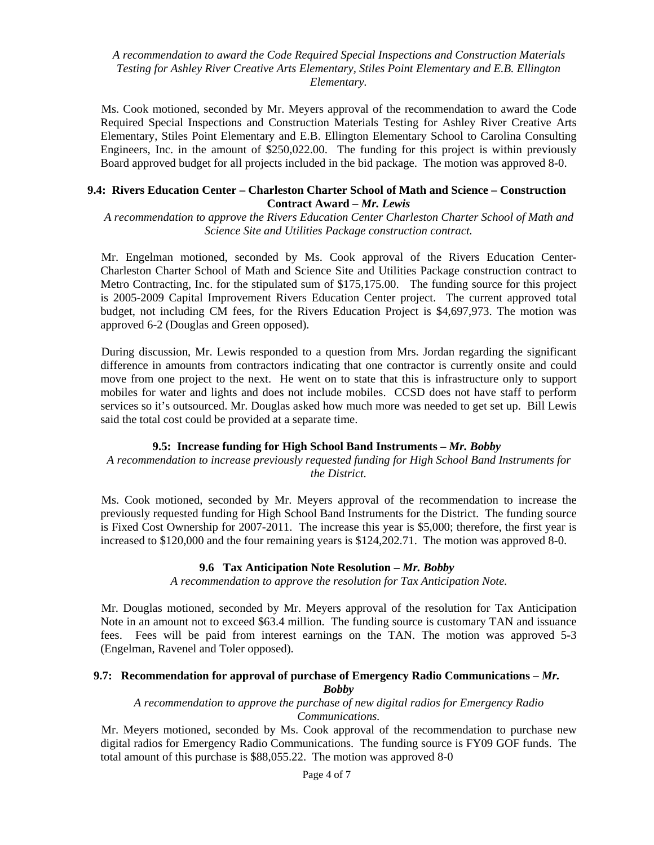*A recommendation to award the Code Required Special Inspections and Construction Materials Testing for Ashley River Creative Arts Elementary, Stiles Point Elementary and E.B. Ellington Elementary.* 

Ms. Cook motioned, seconded by Mr. Meyers approval of the recommendation to award the Code Required Special Inspections and Construction Materials Testing for Ashley River Creative Arts Elementary, Stiles Point Elementary and E.B. Ellington Elementary School to Carolina Consulting Engineers, Inc. in the amount of \$250,022.00. The funding for this project is within previously Board approved budget for all projects included in the bid package. The motion was approved 8-0.

### **9.4: Rivers Education Center – Charleston Charter School of Math and Science – Construction Contract Award –** *Mr. Lewis*

*A recommendation to approve the Rivers Education Center Charleston Charter School of Math and Science Site and Utilities Package construction contract.* 

Mr. Engelman motioned, seconded by Ms. Cook approval of the Rivers Education Center-Charleston Charter School of Math and Science Site and Utilities Package construction contract to Metro Contracting, Inc. for the stipulated sum of \$175,175.00. The funding source for this project is 2005-2009 Capital Improvement Rivers Education Center project. The current approved total budget, not including CM fees, for the Rivers Education Project is \$4,697,973. The motion was approved 6-2 (Douglas and Green opposed).

During discussion, Mr. Lewis responded to a question from Mrs. Jordan regarding the significant difference in amounts from contractors indicating that one contractor is currently onsite and could move from one project to the next. He went on to state that this is infrastructure only to support mobiles for water and lights and does not include mobiles. CCSD does not have staff to perform services so it's outsourced. Mr. Douglas asked how much more was needed to get set up. Bill Lewis said the total cost could be provided at a separate time.

### **9.5: Increase funding for High School Band Instruments –** *Mr. Bobby*

*A recommendation to increase previously requested funding for High School Band Instruments for the District.* 

Ms. Cook motioned, seconded by Mr. Meyers approval of the recommendation to increase the previously requested funding for High School Band Instruments for the District. The funding source is Fixed Cost Ownership for 2007-2011. The increase this year is \$5,000; therefore, the first year is increased to \$120,000 and the four remaining years is \$124,202.71. The motion was approved 8-0.

#### **9.6 Tax Anticipation Note Resolution –** *Mr. Bobby*

*A recommendation to approve the resolution for Tax Anticipation Note.* 

Mr. Douglas motioned, seconded by Mr. Meyers approval of the resolution for Tax Anticipation Note in an amount not to exceed \$63.4 million. The funding source is customary TAN and issuance fees. Fees will be paid from interest earnings on the TAN. The motion was approved 5-3 (Engelman, Ravenel and Toler opposed).

### **9.7: Recommendation for approval of purchase of Emergency Radio Communications –** *Mr. Bobby*

*A recommendation to approve the purchase of new digital radios for Emergency Radio Communications.* 

Mr. Meyers motioned, seconded by Ms. Cook approval of the recommendation to purchase new digital radios for Emergency Radio Communications. The funding source is FY09 GOF funds. The total amount of this purchase is \$88,055.22. The motion was approved 8-0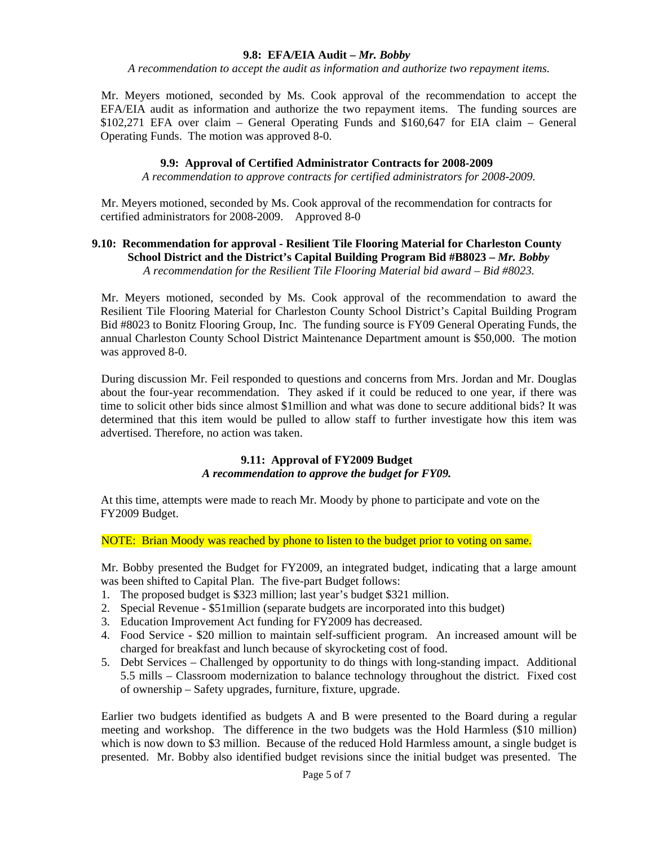### **9.8: EFA/EIA Audit –** *Mr. Bobby*

*A recommendation to accept the audit as information and authorize two repayment items.* 

Mr. Meyers motioned, seconded by Ms. Cook approval of the recommendation to accept the EFA/EIA audit as information and authorize the two repayment items. The funding sources are \$102,271 EFA over claim – General Operating Funds and \$160,647 for EIA claim – General Operating Funds. The motion was approved 8-0.

### **9.9: Approval of Certified Administrator Contracts for 2008-2009**

*A recommendation to approve contracts for certified administrators for 2008-2009.* 

Mr. Meyers motioned, seconded by Ms. Cook approval of the recommendation for contracts for certified administrators for 2008-2009. Approved 8-0

### **9.10: Recommendation for approval - Resilient Tile Flooring Material for Charleston County School District and the District's Capital Building Program Bid #B8023 –** *Mr. Bobby A recommendation for the Resilient Tile Flooring Material bid award – Bid #8023.*

Mr. Meyers motioned, seconded by Ms. Cook approval of the recommendation to award the Resilient Tile Flooring Material for Charleston County School District's Capital Building Program Bid #8023 to Bonitz Flooring Group, Inc. The funding source is FY09 General Operating Funds, the annual Charleston County School District Maintenance Department amount is \$50,000. The motion was approved 8-0.

During discussion Mr. Feil responded to questions and concerns from Mrs. Jordan and Mr. Douglas about the four-year recommendation. They asked if it could be reduced to one year, if there was time to solicit other bids since almost \$1million and what was done to secure additional bids? It was determined that this item would be pulled to allow staff to further investigate how this item was advertised. Therefore, no action was taken.

### **9.11: Approval of FY2009 Budget**  *A recommendation to approve the budget for FY09.*

At this time, attempts were made to reach Mr. Moody by phone to participate and vote on the FY2009 Budget.

NOTE: Brian Moody was reached by phone to listen to the budget prior to voting on same.

Mr. Bobby presented the Budget for FY2009, an integrated budget, indicating that a large amount was been shifted to Capital Plan. The five-part Budget follows:

- 1. The proposed budget is \$323 million; last year's budget \$321 million.
- 2. Special Revenue \$51million (separate budgets are incorporated into this budget)
- 3. Education Improvement Act funding for FY2009 has decreased.
- 4. Food Service \$20 million to maintain self-sufficient program. An increased amount will be charged for breakfast and lunch because of skyrocketing cost of food.
- 5. Debt Services Challenged by opportunity to do things with long-standing impact. Additional 5.5 mills – Classroom modernization to balance technology throughout the district. Fixed cost of ownership – Safety upgrades, furniture, fixture, upgrade.

Earlier two budgets identified as budgets A and B were presented to the Board during a regular meeting and workshop. The difference in the two budgets was the Hold Harmless (\$10 million) which is now down to \$3 million. Because of the reduced Hold Harmless amount, a single budget is presented. Mr. Bobby also identified budget revisions since the initial budget was presented. The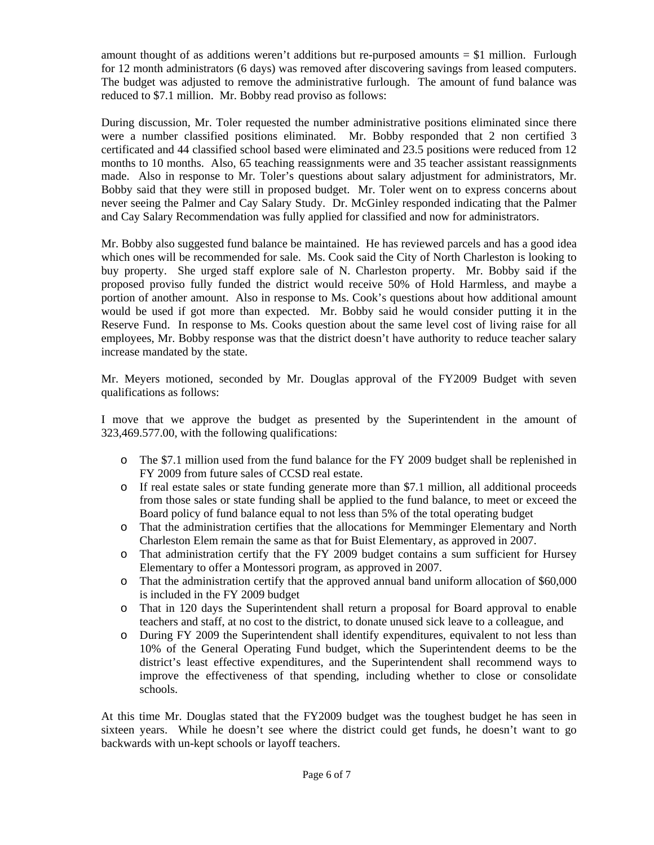amount thought of as additions weren't additions but re-purposed amounts  $= $1$  million. Furlough for 12 month administrators (6 days) was removed after discovering savings from leased computers. The budget was adjusted to remove the administrative furlough. The amount of fund balance was reduced to \$7.1 million. Mr. Bobby read proviso as follows:

During discussion, Mr. Toler requested the number administrative positions eliminated since there were a number classified positions eliminated. Mr. Bobby responded that 2 non certified 3 certificated and 44 classified school based were eliminated and 23.5 positions were reduced from 12 months to 10 months. Also, 65 teaching reassignments were and 35 teacher assistant reassignments made. Also in response to Mr. Toler's questions about salary adjustment for administrators, Mr. Bobby said that they were still in proposed budget. Mr. Toler went on to express concerns about never seeing the Palmer and Cay Salary Study. Dr. McGinley responded indicating that the Palmer and Cay Salary Recommendation was fully applied for classified and now for administrators.

Mr. Bobby also suggested fund balance be maintained. He has reviewed parcels and has a good idea which ones will be recommended for sale. Ms. Cook said the City of North Charleston is looking to buy property. She urged staff explore sale of N. Charleston property. Mr. Bobby said if the proposed proviso fully funded the district would receive 50% of Hold Harmless, and maybe a portion of another amount. Also in response to Ms. Cook's questions about how additional amount would be used if got more than expected. Mr. Bobby said he would consider putting it in the Reserve Fund. In response to Ms. Cooks question about the same level cost of living raise for all employees, Mr. Bobby response was that the district doesn't have authority to reduce teacher salary increase mandated by the state.

Mr. Meyers motioned, seconded by Mr. Douglas approval of the FY2009 Budget with seven qualifications as follows:

I move that we approve the budget as presented by the Superintendent in the amount of 323,469.577.00, with the following qualifications:

- o The \$7.1 million used from the fund balance for the FY 2009 budget shall be replenished in FY 2009 from future sales of CCSD real estate.
- o If real estate sales or state funding generate more than \$7.1 million, all additional proceeds from those sales or state funding shall be applied to the fund balance, to meet or exceed the Board policy of fund balance equal to not less than 5% of the total operating budget
- o That the administration certifies that the allocations for Memminger Elementary and North Charleston Elem remain the same as that for Buist Elementary, as approved in 2007.
- o That administration certify that the FY 2009 budget contains a sum sufficient for Hursey Elementary to offer a Montessori program, as approved in 2007.
- o That the administration certify that the approved annual band uniform allocation of \$60,000 is included in the FY 2009 budget
- o That in 120 days the Superintendent shall return a proposal for Board approval to enable teachers and staff, at no cost to the district, to donate unused sick leave to a colleague, and
- o During FY 2009 the Superintendent shall identify expenditures, equivalent to not less than 10% of the General Operating Fund budget, which the Superintendent deems to be the district's least effective expenditures, and the Superintendent shall recommend ways to improve the effectiveness of that spending, including whether to close or consolidate schools.

At this time Mr. Douglas stated that the FY2009 budget was the toughest budget he has seen in sixteen years. While he doesn't see where the district could get funds, he doesn't want to go backwards with un-kept schools or layoff teachers.